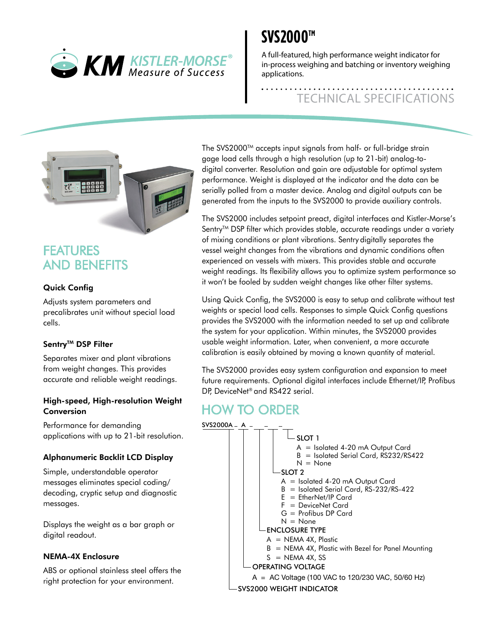

## **SVS2000™**

A full-featured, high performance weight indicator for in-process weighing and batching or inventory weighing applications.

# TECHNICAL SPECIFICATIONS



### FEATURES AND BENEFITS

#### Quick Config

Adjusts system parameters and precalibrates unit without special load cells.

#### Sentrv™ DSP Filter

Separates mixer and plant vibrations from weight changes. This provides accurate and reliable weight readings.

#### High-speed, High-resolution Weight Conversion

Performance for demanding applications with up to 21-bit resolution.

#### Alphanumeric Backlit LCD Display

Simple, understandable operator messages eliminates special coding/ decoding, cryptic setup and diagnostic messages.

Displays the weight as a bar graph or digital readout.

#### NEMA-4X Enclosure

ABS or optional stainless steel offers the right protection for your environment.

The SVS2000™ accepts input signals from half- or full-bridge strain gage load cells through a high resolution (up to 21-bit) analog-todigital converter. Resolution and gain are adjustable for optimal system performance. Weight is displayed at the indicator and the data can be serially polled from a master device. Analog and digital outputs can be generated from the inputs to the SVS2000 to provide auxiliary controls.

The SVS2000 includes setpoint preact, digital interfaces and Kistler-Morse's Sentry<sup>™</sup> DSP filter which provides stable, accurate readings under a variety of mixing conditions or plant vibrations. Sentry digitally separates the vessel weight changes from the vibrations and dynamic conditions often experienced on vessels with mixers. This provides stable and accurate weight readings. Its flexibility allows you to optimize system performance so it won't be fooled by sudden weight changes like other filter systems.

Using Quick Config, the SVS2000 is easy to setup and calibrate without test weights or special load cells. Responses to simple Quick Config questions provides the SVS2000 with the information needed to set up and calibrate the system for your application. Within minutes, the SVS2000 provides usable weight information. Later, when convenient, a more accurate calibration is easily obtained by moving a known quantity of material.

The SVS2000 provides easy system configuration and expansion to meet future requirements. Optional digital interfaces include Ethernet/IP, Profibus DP, DeviceNet® and RS422 serial.

### HOW TO ORDER